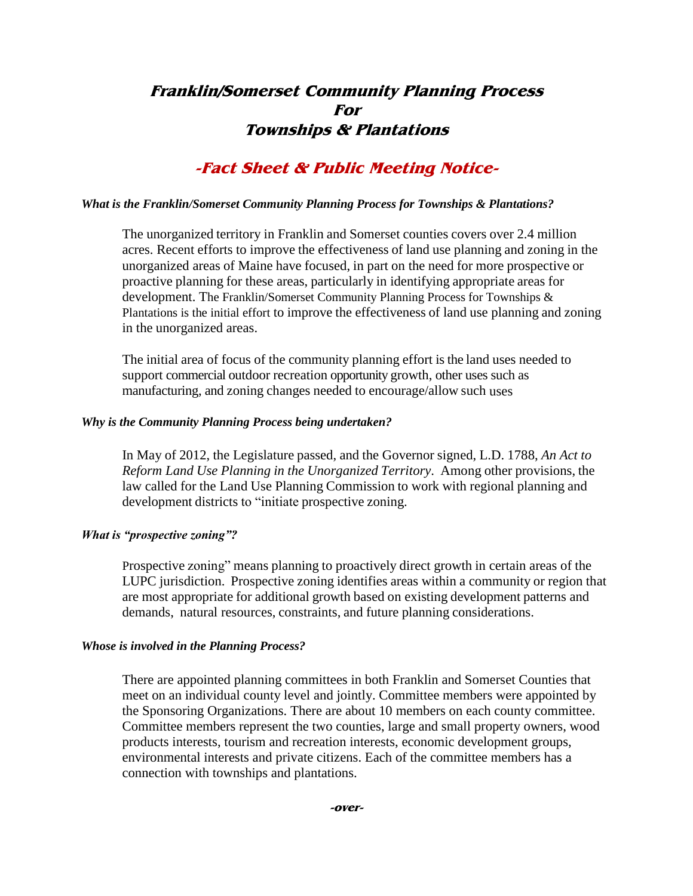# **Franklin/Somerset Community Planning Process For Townships & Plantations**

### **-Fact Sheet & Public Meeting Notice-**

#### *What is the Franklin/Somerset Community Planning Process for Townships & Plantations?*

The unorganized territory in Franklin and Somerset counties covers over 2.4 million acres. Recent efforts to improve the effectiveness of land use planning and zoning in the unorganized areas of Maine have focused, in part on the need for more prospective or proactive planning for these areas, particularly in identifying appropriate areas for development. The Franklin/Somerset Community Planning Process for Townships & Plantations is the initial effort to improve the effectiveness of land use planning and zoning in the unorganized areas.

The initial area of focus of the community planning effort is the land uses needed to support commercial outdoor recreation opportunity growth, other uses such as manufacturing, and zoning changes needed to encourage/allow such uses

#### *Why is the Community Planning Process being undertaken?*

In May of 2012, the Legislature passed, and the Governor signed, L.D. 1788, *An Act to Reform Land Use Planning in the Unorganized Territory*. Among other provisions, the law called for the Land Use Planning Commission to work with regional planning and development districts to "initiate prospective zoning.

### *What is "prospective zoning"?*

Prospective zoning" means planning to proactively direct growth in certain areas of the LUPC jurisdiction. Prospective zoning identifies areas within a community or region that are most appropriate for additional growth based on existing development patterns and demands, natural resources, constraints, and future planning considerations.

### *Whose is involved in the Planning Process?*

There are appointed planning committees in both Franklin and Somerset Counties that meet on an individual county level and jointly. Committee members were appointed by the Sponsoring Organizations. There are about 10 members on each county committee. Committee members represent the two counties, large and small property owners, wood products interests, tourism and recreation interests, economic development groups, environmental interests and private citizens. Each of the committee members has a connection with townships and plantations.